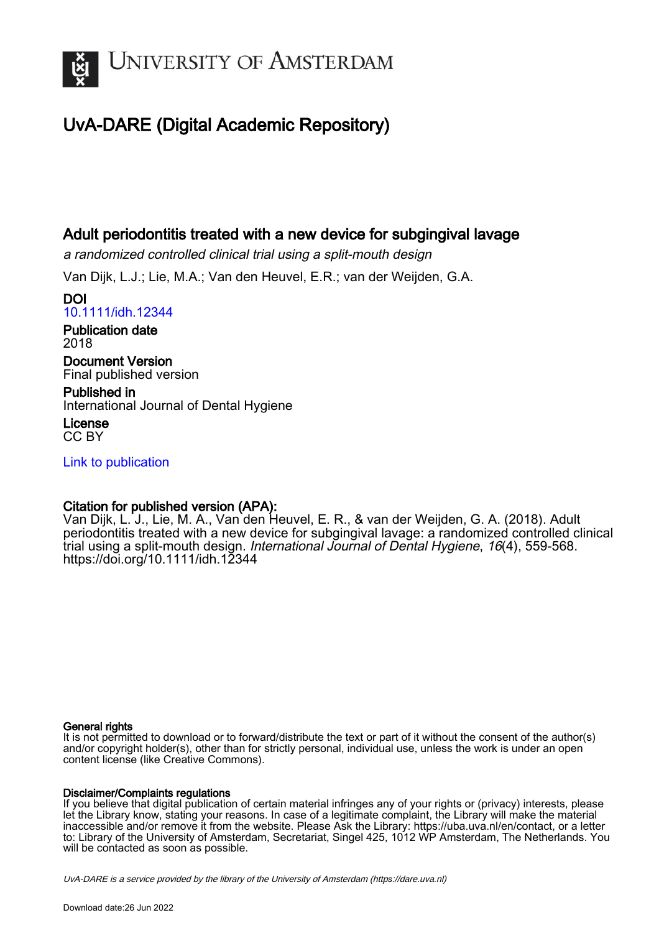

# UvA-DARE (Digital Academic Repository)

## Adult periodontitis treated with a new device for subgingival lavage

a randomized controlled clinical trial using a split-mouth design

Van Dijk, L.J.; Lie, M.A.; Van den Heuvel, E.R.; van der Weijden, G.A.

DOI [10.1111/idh.12344](https://doi.org/10.1111/idh.12344)

Publication date 2018

Document Version Final published version

Published in International Journal of Dental Hygiene

License CC BY

[Link to publication](https://dare.uva.nl/personal/pure/en/publications/adult-periodontitis-treated-with-a-new-device-for-subgingival-lavage(dbca563e-f848-442a-b3a8-6787b6aa1308).html)

## Citation for published version (APA):

Van Dijk, L. J., Lie, M. A., Van den Heuvel, E. R., & van der Weijden, G. A. (2018). Adult periodontitis treated with a new device for subgingival lavage: a randomized controlled clinical trial using a split-mouth design. International Journal of Dental Hygiene, 16(4), 559-568. <https://doi.org/10.1111/idh.12344>

### General rights

It is not permitted to download or to forward/distribute the text or part of it without the consent of the author(s) and/or copyright holder(s), other than for strictly personal, individual use, unless the work is under an open content license (like Creative Commons).

### Disclaimer/Complaints regulations

If you believe that digital publication of certain material infringes any of your rights or (privacy) interests, please let the Library know, stating your reasons. In case of a legitimate complaint, the Library will make the material inaccessible and/or remove it from the website. Please Ask the Library: https://uba.uva.nl/en/contact, or a letter to: Library of the University of Amsterdam, Secretariat, Singel 425, 1012 WP Amsterdam, The Netherlands. You will be contacted as soon as possible.

UvA-DARE is a service provided by the library of the University of Amsterdam (http*s*://dare.uva.nl)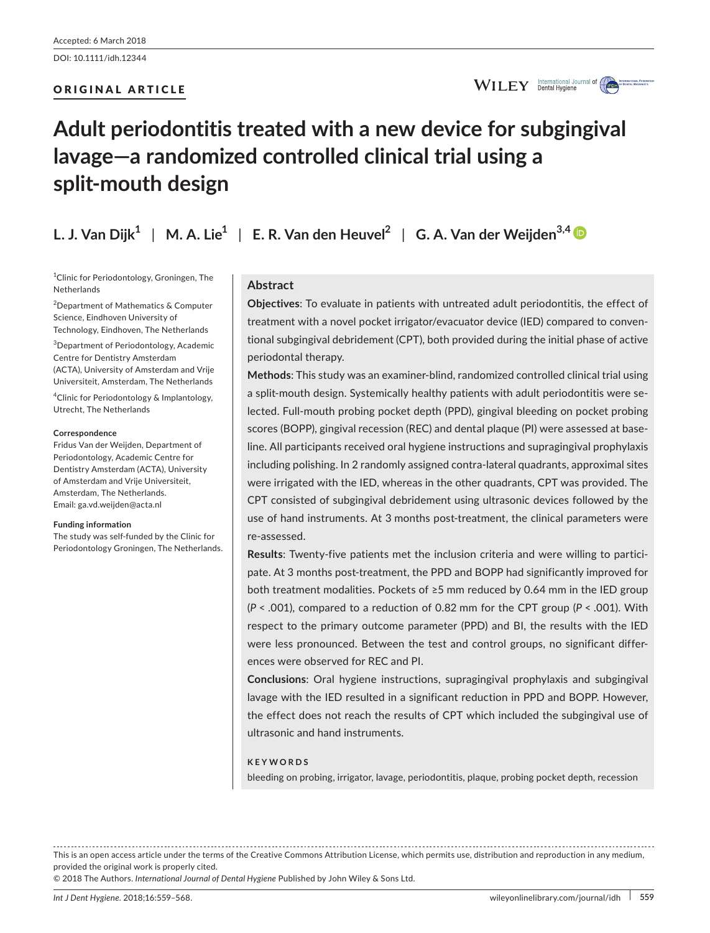### ORIGINAL ARTICLE



# **Adult periodontitis treated with a new device for subgingival lavage—a randomized controlled clinical trial using a split-mouth design**

**L. J. Van Dijk**<sup>1</sup> | M. A. Lie<sup>1</sup> | E. R. Van den Heuvel<sup>2</sup> | G. A. Van der Weijden<sup>3,4</sup>

1 Clinic for Periodontology, Groningen, The **Netherlands** 

2 Department of Mathematics & Computer Science, Eindhoven University of Technology, Eindhoven, The Netherlands

3 Department of Periodontology, Academic Centre for Dentistry Amsterdam (ACTA), University of Amsterdam and Vrije Universiteit, Amsterdam, The Netherlands

4 Clinic for Periodontology & Implantology, Utrecht, The Netherlands

#### **Correspondence**

Fridus Van der Weijden, Department of Periodontology, Academic Centre for Dentistry Amsterdam (ACTA), University of Amsterdam and Vrije Universiteit, Amsterdam, The Netherlands. Email: [ga.vd.weijden@acta.nl](mailto:ga.vd.weijden@acta.nl)

#### **Funding information**

The study was self-funded by the Clinic for Periodontology Groningen, The Netherlands.

### **Abstract**

**Objectives**: To evaluate in patients with untreated adult periodontitis, the effect of treatment with a novel pocket irrigator/evacuator device (IED) compared to conventional subgingival debridement (CPT), both provided during the initial phase of active periodontal therapy.

**Methods**: This study was an examiner-blind, randomized controlled clinical trial using a split-mouth design. Systemically healthy patients with adult periodontitis were selected. Full-mouth probing pocket depth (PPD), gingival bleeding on pocket probing scores (BOPP), gingival recession (REC) and dental plaque (PI) were assessed at baseline. All participants received oral hygiene instructions and supragingival prophylaxis including polishing. In 2 randomly assigned contra-lateral quadrants, approximal sites were irrigated with the IED, whereas in the other quadrants, CPT was provided. The CPT consisted of subgingival debridement using ultrasonic devices followed by the use of hand instruments. At 3 months post-treatment, the clinical parameters were re-assessed.

**Results**: Twenty-five patients met the inclusion criteria and were willing to participate. At 3 months post-treatment, the PPD and BOPP had significantly improved for both treatment modalities. Pockets of ≥5 mm reduced by 0.64 mm in the IED group (*P* < .001), compared to a reduction of 0.82 mm for the CPT group (*P* < .001). With respect to the primary outcome parameter (PPD) and BI, the results with the IED were less pronounced. Between the test and control groups, no significant differences were observed for REC and PI.

**Conclusions**: Oral hygiene instructions, supragingival prophylaxis and subgingival lavage with the IED resulted in a significant reduction in PPD and BOPP. However, the effect does not reach the results of CPT which included the subgingival use of ultrasonic and hand instruments.

#### **KEYWORDS**

bleeding on probing, irrigator, lavage, periodontitis, plaque, probing pocket depth, recession

This is an open access article under the terms of the [Creative Commons Attribution](http://creativecommons.org/licenses/by/4.0/) License, which permits use, distribution and reproduction in any medium, provided the original work is properly cited.

© 2018 The Authors. *International Journal of Dental Hygiene* Published by John Wiley & Sons Ltd.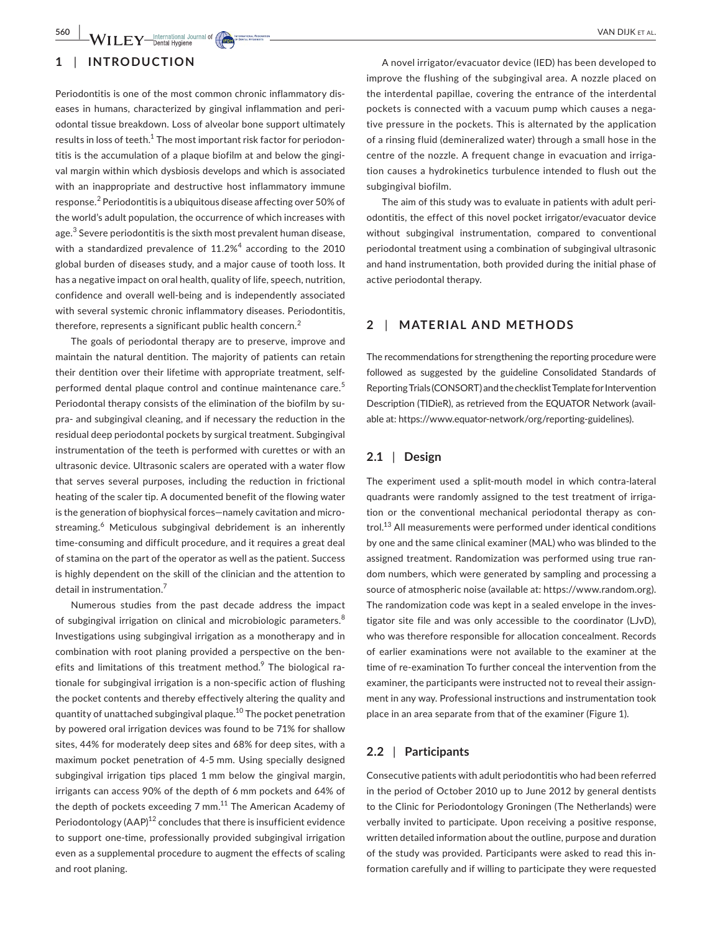### **1** | **INTRODUCTION**

Periodontitis is one of the most common chronic inflammatory diseases in humans, characterized by gingival inflammation and periodontal tissue breakdown. Loss of alveolar bone support ultimately results in loss of teeth. $^{\rm 1}$  The most important risk factor for periodontitis is the accumulation of a plaque biofilm at and below the gingival margin within which dysbiosis develops and which is associated with an inappropriate and destructive host inflammatory immune response.<sup>2</sup> Periodontitis is a ubiquitous disease affecting over 50% of the world's adult population, the occurrence of which increases with age.<sup>3</sup> Severe periodontitis is the sixth most prevalent human disease, with a standardized prevalence of  $11.2\% ^{4}$  according to the 2010 global burden of diseases study, and a major cause of tooth loss. It has a negative impact on oral health, quality of life, speech, nutrition, confidence and overall well-being and is independently associated with several systemic chronic inflammatory diseases. Periodontitis, therefore, represents a significant public health concern.<sup>2</sup>

The goals of periodontal therapy are to preserve, improve and maintain the natural dentition. The majority of patients can retain their dentition over their lifetime with appropriate treatment, selfperformed dental plaque control and continue maintenance care.<sup>5</sup> Periodontal therapy consists of the elimination of the biofilm by supra- and subgingival cleaning, and if necessary the reduction in the residual deep periodontal pockets by surgical treatment. Subgingival instrumentation of the teeth is performed with curettes or with an ultrasonic device. Ultrasonic scalers are operated with a water flow that serves several purposes, including the reduction in frictional heating of the scaler tip. A documented benefit of the flowing water is the generation of biophysical forces—namely cavitation and microstreaming.<sup>6</sup> Meticulous subgingival debridement is an inherently time-consuming and difficult procedure, and it requires a great deal of stamina on the part of the operator as well as the patient. Success is highly dependent on the skill of the clinician and the attention to detail in instrumentation.<sup>7</sup>

Numerous studies from the past decade address the impact of subgingival irrigation on clinical and microbiologic parameters.<sup>8</sup> Investigations using subgingival irrigation as a monotherapy and in combination with root planing provided a perspective on the benefits and limitations of this treatment method.<sup>9</sup> The biological rationale for subgingival irrigation is a non-specific action of flushing the pocket contents and thereby effectively altering the quality and quantity of unattached subgingival plaque.10 The pocket penetration by powered oral irrigation devices was found to be 71% for shallow sites, 44% for moderately deep sites and 68% for deep sites, with a maximum pocket penetration of 4-5 mm. Using specially designed subgingival irrigation tips placed 1 mm below the gingival margin, irrigants can access 90% of the depth of 6 mm pockets and 64% of the depth of pockets exceeding 7 mm.<sup>11</sup> The American Academy of Periodontology  $(AAP)^{12}$  concludes that there is insufficient evidence to support one-time, professionally provided subgingival irrigation even as a supplemental procedure to augment the effects of scaling and root planing.

A novel irrigator/evacuator device (IED) has been developed to improve the flushing of the subgingival area. A nozzle placed on the interdental papillae, covering the entrance of the interdental pockets is connected with a vacuum pump which causes a negative pressure in the pockets. This is alternated by the application of a rinsing fluid (demineralized water) through a small hose in the centre of the nozzle. A frequent change in evacuation and irrigation causes a hydrokinetics turbulence intended to flush out the subgingival biofilm.

The aim of this study was to evaluate in patients with adult periodontitis, the effect of this novel pocket irrigator/evacuator device without subgingival instrumentation, compared to conventional periodontal treatment using a combination of subgingival ultrasonic and hand instrumentation, both provided during the initial phase of active periodontal therapy.

### **2** | **MATERIAL AND METHODS**

The recommendations for strengthening the reporting procedure were followed as suggested by the guideline Consolidated Standards of Reporting Trials (CONSORT) and the checklist Template for Intervention Description (TIDieR), as retrieved from the EQUATOR Network (available at: [https://www.equator-network/org/reporting-guidelines\)](https://www.equator-network/org/reporting-guidelines).

### **2.1** | **Design**

The experiment used a split-mouth model in which contra-lateral quadrants were randomly assigned to the test treatment of irrigation or the conventional mechanical periodontal therapy as control.<sup>13</sup> All measurements were performed under identical conditions by one and the same clinical examiner (MAL) who was blinded to the assigned treatment. Randomization was performed using true random numbers, which were generated by sampling and processing a source of atmospheric noise (available at:<https://www.random.org>). The randomization code was kept in a sealed envelope in the investigator site file and was only accessible to the coordinator (LJvD), who was therefore responsible for allocation concealment. Records of earlier examinations were not available to the examiner at the time of re-examination To further conceal the intervention from the examiner, the participants were instructed not to reveal their assignment in any way. Professional instructions and instrumentation took place in an area separate from that of the examiner (Figure 1).

### **2.2** | **Participants**

Consecutive patients with adult periodontitis who had been referred in the period of October 2010 up to June 2012 by general dentists to the Clinic for Periodontology Groningen (The Netherlands) were verbally invited to participate. Upon receiving a positive response, written detailed information about the outline, purpose and duration of the study was provided. Participants were asked to read this information carefully and if willing to participate they were requested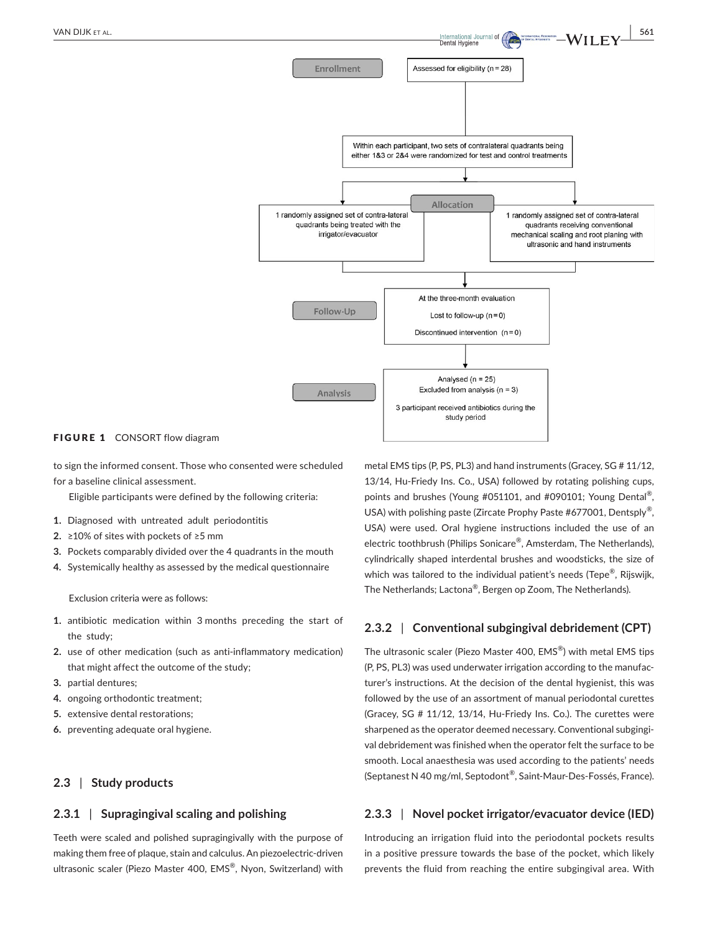

Analysed ( $n = 25$ ) Excluded from analysis  $(n = 3)$ 

3 participant received antibiotics during the study period

Analysis

#### FIGURE 1 CONSORT flow diagram

to sign the informed consent. Those who consented were scheduled for a baseline clinical assessment.

Eligible participants were defined by the following criteria:

- **1.** Diagnosed with untreated adult periodontitis
- **2.** ≥10% of sites with pockets of ≥5 mm
- **3.** Pockets comparably divided over the 4 quadrants in the mouth
- **4.** Systemically healthy as assessed by the medical questionnaire

Exclusion criteria were as follows:

- **1.** antibiotic medication within 3 months preceding the start of the study;
- **2.** use of other medication (such as anti-inflammatory medication) that might affect the outcome of the study;
- **3.** partial dentures;
- **4.** ongoing orthodontic treatment;
- **5.** extensive dental restorations;
- **6.** preventing adequate oral hygiene.

### **2.3** | **Study products**

### **2.3.1** | **Supragingival scaling and polishing**

Teeth were scaled and polished supragingivally with the purpose of making them free of plaque, stain and calculus. An piezoelectric-driven ultrasonic scaler (Piezo Master 400, EMS®, Nyon, Switzerland) with metal EMS tips (P, PS, PL3) and hand instruments (Gracey, SG # 11/12, 13/14, Hu-Friedy Ins. Co., USA) followed by rotating polishing cups, points and brushes (Young #051101, and #090101; Young Dental®, USA) with polishing paste (Zircate Prophy Paste #677001, Dentsply<sup>®</sup>, USA) were used. Oral hygiene instructions included the use of an electric toothbrush (Philips Sonicare®, Amsterdam, The Netherlands), cylindrically shaped interdental brushes and woodsticks, the size of which was tailored to the individual patient's needs (Tepe®, Rijswijk, The Netherlands; Lactona®, Bergen op Zoom, The Netherlands).

### **2.3.2** | **Conventional subgingival debridement (CPT)**

The ultrasonic scaler (Piezo Master 400, EMS®) with metal EMS tips (P, PS, PL3) was used underwater irrigation according to the manufacturer's instructions. At the decision of the dental hygienist, this was followed by the use of an assortment of manual periodontal curettes (Gracey, SG # 11/12, 13/14, Hu-Friedy Ins. Co.). The curettes were sharpened as the operator deemed necessary. Conventional subgingival debridement was finished when the operator felt the surface to be smooth. Local anaesthesia was used according to the patients' needs (Septanest N 40 mg/ml, Septodont®, Saint-Maur-Des-Fossés, France).

### **2.3.3** | **Novel pocket irrigator/evacuator device (IED)**

Introducing an irrigation fluid into the periodontal pockets results in a positive pressure towards the base of the pocket, which likely prevents the fluid from reaching the entire subgingival area. With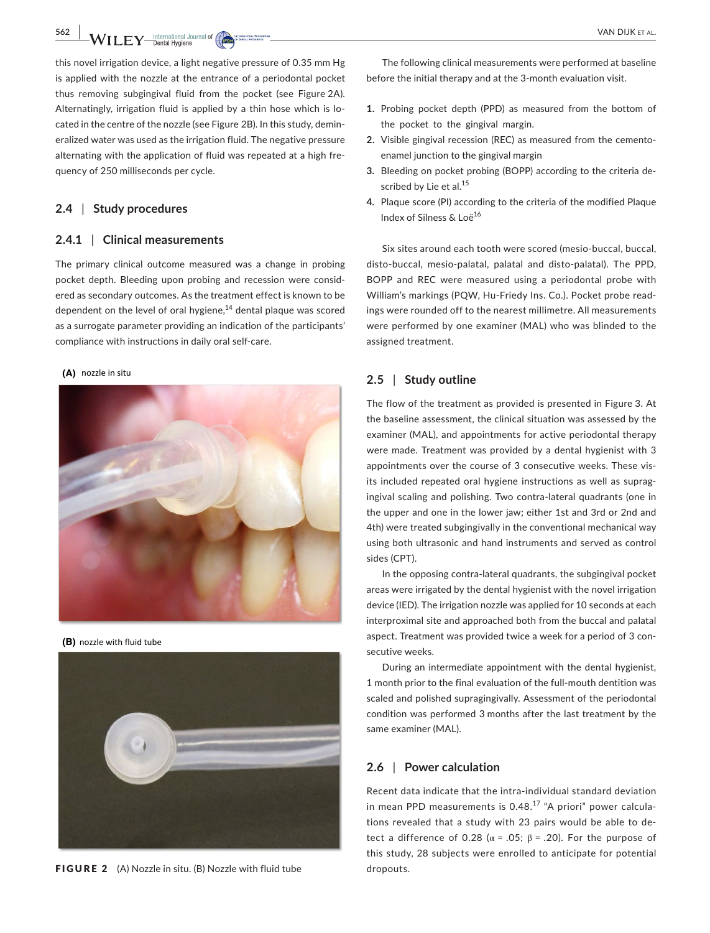**562 a a** *MAI***<sub>LL</sub> <b>F** *NAI* ILE **T** *N CON CON CON CON CON CON CON CON CON CON CON CON CON CON CON CON CON CON CON CON CON C* 

this novel irrigation device, a light negative pressure of 0.35 mm Hg is applied with the nozzle at the entrance of a periodontal pocket thus removing subgingival fluid from the pocket (see Figure 2A). Alternatingly, irrigation fluid is applied by a thin hose which is located in the centre of the nozzle (see Figure 2B). In this study, demineralized water was used as the irrigation fluid. The negative pressure alternating with the application of fluid was repeated at a high frequency of 250 milliseconds per cycle.

### **2.4** | **Study procedures**

### **2.4.1** | **Clinical measurements**

The primary clinical outcome measured was a change in probing pocket depth. Bleeding upon probing and recession were considered as secondary outcomes. As the treatment effect is known to be dependent on the level of oral hygiene,<sup>14</sup> dental plaque was scored as a surrogate parameter providing an indication of the participants' compliance with instructions in daily oral self-care.

#### nozzle in situ **(A)**



**(B)** nozzle with fluid tube



FIGURE 2 (A) Nozzle in situ. (B) Nozzle with fluid tube dropouts.

The following clinical measurements were performed at baseline before the initial therapy and at the 3-month evaluation visit.

- **1.** Probing pocket depth (PPD) as measured from the bottom of the pocket to the gingival margin.
- **2.** Visible gingival recession (REC) as measured from the cementoenamel junction to the gingival margin
- **3.** Bleeding on pocket probing (BOPP) according to the criteria described by Lie et al.<sup>15</sup>
- **4.** Plaque score (PI) according to the criteria of the modified Plaque Index of Silness & Loё<sup>16</sup>

Six sites around each tooth were scored (mesio-buccal, buccal, disto-buccal, mesio-palatal, palatal and disto-palatal). The PPD, BOPP and REC were measured using a periodontal probe with William's markings (PQW, Hu-Friedy Ins. Co.). Pocket probe readings were rounded off to the nearest millimetre. All measurements were performed by one examiner (MAL) who was blinded to the assigned treatment.

### **2.5** | **Study outline**

The flow of the treatment as provided is presented in Figure 3. At the baseline assessment, the clinical situation was assessed by the examiner (MAL), and appointments for active periodontal therapy were made. Treatment was provided by a dental hygienist with 3 appointments over the course of 3 consecutive weeks. These visits included repeated oral hygiene instructions as well as supragingival scaling and polishing. Two contra-lateral quadrants (one in the upper and one in the lower jaw; either 1st and 3rd or 2nd and 4th) were treated subgingivally in the conventional mechanical way using both ultrasonic and hand instruments and served as control sides (CPT).

In the opposing contra-lateral quadrants, the subgingival pocket areas were irrigated by the dental hygienist with the novel irrigation device (IED). The irrigation nozzle was applied for 10 seconds at each interproximal site and approached both from the buccal and palatal aspect. Treatment was provided twice a week for a period of 3 consecutive weeks.

During an intermediate appointment with the dental hygienist, 1 month prior to the final evaluation of the full-mouth dentition was scaled and polished supragingivally. Assessment of the periodontal condition was performed 3 months after the last treatment by the same examiner (MAL).

### **2.6** | **Power calculation**

Recent data indicate that the intra-individual standard deviation in mean PPD measurements is  $0.48<sup>17</sup>$  "A priori" power calculations revealed that a study with 23 pairs would be able to detect a difference of 0.28 ( $\alpha$  = .05;  $\beta$  = .20). For the purpose of this study, 28 subjects were enrolled to anticipate for potential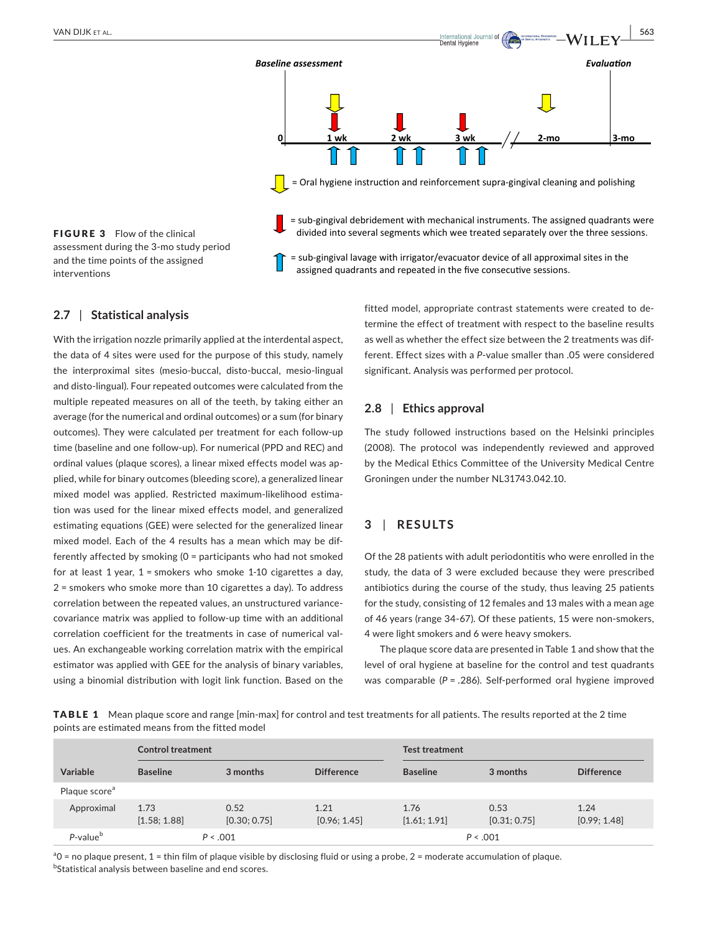

FIGURE 3 Flow of the clinical assessment during the 3-mo study period and the time points of the assigned interventions

= sub-gingival lavage with irrigator/evacuator device of all approximal sites in the assigned quadrants and repeated in the five consecutive sessions.

### **2.7** | **Statistical analysis**

With the irrigation nozzle primarily applied at the interdental aspect, the data of 4 sites were used for the purpose of this study, namely the interproximal sites (mesio-buccal, disto-buccal, mesio-lingual and disto-lingual). Four repeated outcomes were calculated from the multiple repeated measures on all of the teeth, by taking either an average (for the numerical and ordinal outcomes) or a sum (for binary outcomes). They were calculated per treatment for each follow-up time (baseline and one follow-up). For numerical (PPD and REC) and ordinal values (plaque scores), a linear mixed effects model was applied, while for binary outcomes (bleeding score), a generalized linear mixed model was applied. Restricted maximum-likelihood estimation was used for the linear mixed effects model, and generalized estimating equations (GEE) were selected for the generalized linear mixed model. Each of the 4 results has a mean which may be differently affected by smoking (0 = participants who had not smoked for at least 1 year, 1 = smokers who smoke 1-10 cigarettes a day, 2 = smokers who smoke more than 10 cigarettes a day). To address correlation between the repeated values, an unstructured variancecovariance matrix was applied to follow-up time with an additional correlation coefficient for the treatments in case of numerical values. An exchangeable working correlation matrix with the empirical estimator was applied with GEE for the analysis of binary variables, using a binomial distribution with logit link function. Based on the fitted model, appropriate contrast statements were created to determine the effect of treatment with respect to the baseline results as well as whether the effect size between the 2 treatments was different. Effect sizes with a *P*-value smaller than .05 were considered significant. Analysis was performed per protocol.

### **2.8** | **Ethics approval**

The study followed instructions based on the Helsinki principles (2008). The protocol was independently reviewed and approved by the Medical Ethics Committee of the University Medical Centre Groningen under the number NL31743.042.10.

### **3** | **RESULTS**

Of the 28 patients with adult periodontitis who were enrolled in the study, the data of 3 were excluded because they were prescribed antibiotics during the course of the study, thus leaving 25 patients for the study, consisting of 12 females and 13 males with a mean age of 46 years (range 34-67). Of these patients, 15 were non-smokers, 4 were light smokers and 6 were heavy smokers.

The plaque score data are presented in Table 1 and show that the level of oral hygiene at baseline for the control and test quadrants was comparable (*P* = .286). Self-performed oral hygiene improved

TABLE 1 Mean plaque score and range [min-max] for control and test treatments for all patients. The results reported at the 2 time points are estimated means from the fitted model

|                           | <b>Control treatment</b> |                      |                      | <b>Test treatment</b> |                      |                      |
|---------------------------|--------------------------|----------------------|----------------------|-----------------------|----------------------|----------------------|
| Variable                  | <b>Baseline</b>          | 3 months             | <b>Difference</b>    | <b>Baseline</b>       | 3 months             | <b>Difference</b>    |
| Plaque score <sup>a</sup> |                          |                      |                      |                       |                      |                      |
| Approximal                | 1.73<br>[1.58; 1.88]     | 0.52<br>[0.30; 0.75] | 1.21<br>[0.96; 1.45] | 1.76<br>[1.61; 1.91]  | 0.53<br>[0.31; 0.75] | 1.24<br>[0.99; 1.48] |
| $P$ -value $b$            | P < .001                 |                      | P < .001             |                       |                      |                      |

<sup>a</sup>O = no plaque present, 1 = thin film of plaque visible by disclosing fluid or using a probe, 2 = moderate accumulation of plaque.  $^{\rm b}$ Statistical analysis between baseline and end scores.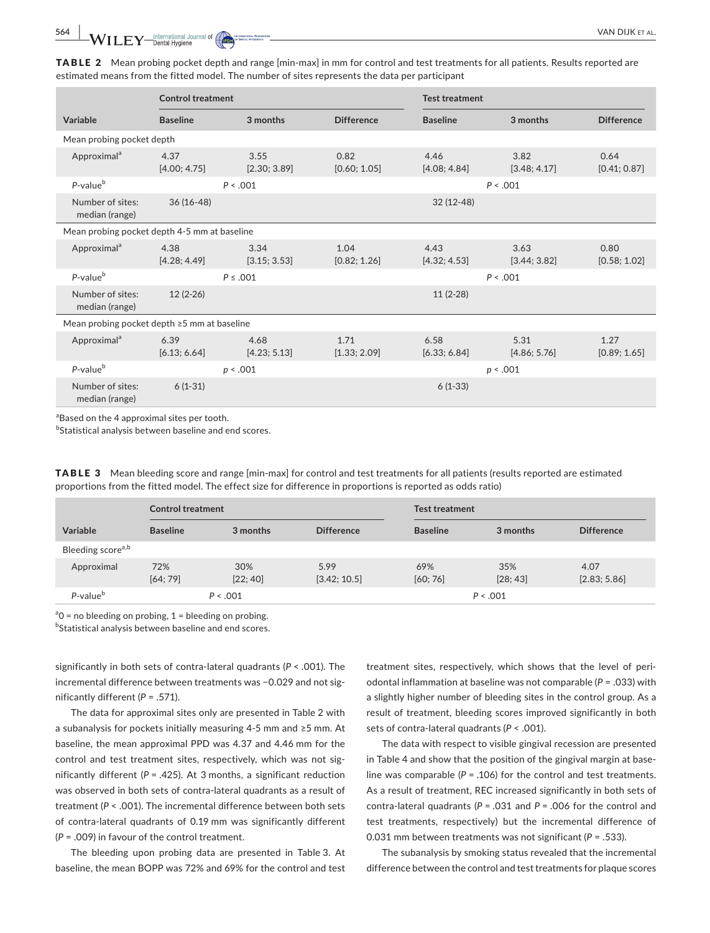TABLE 2 Mean probing pocket depth and range [min-max] in mm for control and test treatments for all patients. Results reported are estimated means from the fitted model. The number of sites represents the data per participant

|                                                   | <b>Control treatment</b> |                      |                      | <b>Test treatment</b> |                      |                      |  |
|---------------------------------------------------|--------------------------|----------------------|----------------------|-----------------------|----------------------|----------------------|--|
| Variable                                          | <b>Baseline</b>          | 3 months             | <b>Difference</b>    | <b>Baseline</b>       | 3 months             | <b>Difference</b>    |  |
| Mean probing pocket depth                         |                          |                      |                      |                       |                      |                      |  |
| Approximal <sup>a</sup>                           | 4.37<br>[4.00; 4.75]     | 3.55<br>[2.30; 3.89] | 0.82<br>[0.60; 1.05] | 4.46<br>[4.08; 4.84]  | 3.82<br>[3.48; 4.17] | 0.64<br>[0.41; 0.87] |  |
| P-value <sup>b</sup>                              | P < .001<br>P < .001     |                      |                      |                       |                      |                      |  |
| Number of sites:<br>median (range)                | $36(16-48)$              |                      |                      | $32(12-48)$           |                      |                      |  |
| Mean probing pocket depth 4-5 mm at baseline      |                          |                      |                      |                       |                      |                      |  |
| Approximal <sup>a</sup>                           | 4.38<br>[4.28; 4.49]     | 3.34<br>[3.15; 3.53] | 1.04<br>[0.82; 1.26] | 4.43<br>[4.32; 4.53]  | 3.63<br>[3.44; 3.82] | 0.80<br>[0.58; 1.02] |  |
| P-value <sup>b</sup>                              | $P \le .001$<br>P < .001 |                      |                      |                       |                      |                      |  |
| Number of sites:<br>median (range)                | $12(2-26)$               |                      |                      | $11(2-28)$            |                      |                      |  |
| Mean probing pocket depth $\geq$ 5 mm at baseline |                          |                      |                      |                       |                      |                      |  |
| Approximal <sup>a</sup>                           | 6.39<br>[6.13; 6.64]     | 4.68<br>[4.23; 5.13] | 1.71<br>[1.33; 2.09] | 6.58<br>[6.33; 6.84]  | 5.31<br>[4.86; 5.76] | 1.27<br>[0.89; 1.65] |  |
| $P$ -value $b$                                    |                          | p < .001             |                      |                       | p < .001             |                      |  |
| Number of sites:<br>median (range)                | $6(1-31)$                |                      |                      | $6(1-33)$             |                      |                      |  |

<sup>a</sup>Based on the 4 approximal sites per tooth.

 $^{\rm b}$ Statistical analysis between baseline and end scores.

TABLE 3 Mean bleeding score and range [min-max] for control and test treatments for all patients (results reported are estimated proportions from the fitted model. The effect size for difference in proportions is reported as odds ratio)

|                               | <b>Control treatment</b> |                 |                      | <b>Test treatment</b> |                 |                      |
|-------------------------------|--------------------------|-----------------|----------------------|-----------------------|-----------------|----------------------|
| <b>Variable</b>               | <b>Baseline</b>          | 3 months        | <b>Difference</b>    | <b>Baseline</b>       | 3 months        | <b>Difference</b>    |
| Bleeding score <sup>a,b</sup> |                          |                 |                      |                       |                 |                      |
| Approximal                    | 72%<br>[64; 79]          | 30%<br>[22; 40] | 5.99<br>[3.42; 10.5] | 69%<br>[60; 76]       | 35%<br>[28; 43] | 4.07<br>[2.83; 5.86] |
| P-value <sup>b</sup>          | P < .001                 |                 |                      | P < .001              |                 |                      |

 $a^0$  = no bleeding on probing, 1 = bleeding on probing.

**bStatistical analysis between baseline and end scores.** 

significantly in both sets of contra-lateral quadrants (*P* < .001). The incremental difference between treatments was −0.029 and not significantly different (*P* = .571).

The data for approximal sites only are presented in Table 2 with a subanalysis for pockets initially measuring 4-5 mm and ≥5 mm. At baseline, the mean approximal PPD was 4.37 and 4.46 mm for the control and test treatment sites, respectively, which was not significantly different ( $P = .425$ ). At 3 months, a significant reduction was observed in both sets of contra-lateral quadrants as a result of treatment (*P* < .001). The incremental difference between both sets of contra-lateral quadrants of 0.19 mm was significantly different (*P* = .009) in favour of the control treatment.

The bleeding upon probing data are presented in Table 3. At baseline, the mean BOPP was 72% and 69% for the control and test

treatment sites, respectively, which shows that the level of periodontal inflammation at baseline was not comparable (*P* = .033) with a slightly higher number of bleeding sites in the control group. As a result of treatment, bleeding scores improved significantly in both sets of contra-lateral quadrants (*P* < .001).

The data with respect to visible gingival recession are presented in Table 4 and show that the position of the gingival margin at baseline was comparable  $(P = .106)$  for the control and test treatments. As a result of treatment, REC increased significantly in both sets of contra-lateral quadrants (*P* = .031 and *P* = .006 for the control and test treatments, respectively) but the incremental difference of 0.031 mm between treatments was not significant (*P* = .533).

The subanalysis by smoking status revealed that the incremental difference between the control and test treatments for plaque scores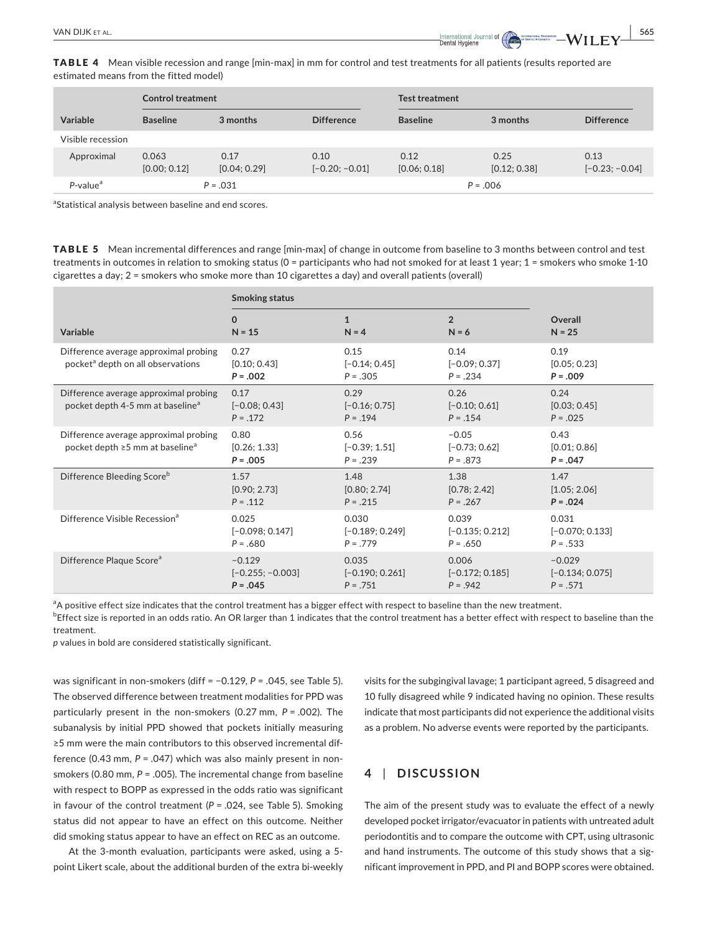**|** VAN DIJK et al. **565**

TABLE 4 Mean visible recession and range [min-max] in mm for control and test treatments for all patients (results reported are estimated means from the fitted model)

|                         | <b>Control treatment</b> |                      |                          | <b>Test treatment</b> |                      |                          |
|-------------------------|--------------------------|----------------------|--------------------------|-----------------------|----------------------|--------------------------|
| Variable                | <b>Baseline</b>          | 3 months             | <b>Difference</b>        | <b>Baseline</b>       | 3 months             | <b>Difference</b>        |
| Visible recession       |                          |                      |                          |                       |                      |                          |
| Approximal              | 0.063<br>[0.00; 0.12]    | 0.17<br>[0.04; 0.29] | 0.10<br>$[-0.20; -0.01]$ | 0.12<br>[0.06; 0.18]  | 0.25<br>[0.12; 0.38] | 0.13<br>$[-0.23; -0.04]$ |
| $P$ -value <sup>a</sup> | $P = .031$               |                      |                          | $P = .006$            |                      |                          |

<sup>a</sup>Statistical analysis between baseline and end scores.

TABLE 5 Mean incremental differences and range [min-max] of change in outcome from baseline to 3 months between control and test treatments in outcomes in relation to smoking status (0 = participants who had not smoked for at least 1 year; 1 = smokers who smoke 1-10 cigarettes a day; 2 = smokers who smoke more than 10 cigarettes a day) and overall patients (overall)

|                                                                                        | <b>Smoking status</b>                  |                                        |                                          |                                    |
|----------------------------------------------------------------------------------------|----------------------------------------|----------------------------------------|------------------------------------------|------------------------------------|
| Variable                                                                               | $\mathbf{0}$                           | $\mathbf{1}$                           | $\overline{2}$                           | Overall                            |
|                                                                                        | $N = 15$                               | $N = 4$                                | $N = 6$                                  | $N = 25$                           |
| Difference average approximal probing<br>pocket <sup>a</sup> depth on all observations | 0.27<br>[0.10; 0.43]<br>$P = .002$     | 0.15<br>$[-0.14; 0.45]$<br>$P = .305$  | 0.14<br>$[-0.09; 0.37]$<br>$P = .234$    | 0.19<br>[0.05; 0.23]<br>$P = .009$ |
| Difference average approximal probing<br>pocket depth 4-5 mm at baseline <sup>a</sup>  | 0.17<br>$[-0.08; 0.43]$<br>$P = 0.172$ | 0.29<br>$[-0.16; 0.75]$<br>$P = 0.194$ | 0.26<br>$[-0.10; 0.61]$<br>$P = .154$    | 0.24<br>[0.03; 0.45]<br>$P = .025$ |
| Difference average approximal probing<br>pocket depth ≥5 mm at baseline <sup>a</sup>   | 0.80<br>[0.26; 1.33]<br>$P = .005$     | 0.56<br>$[-0.39; 1.51]$<br>$P = .239$  | $-0.05$<br>$[-0.73; 0.62]$<br>$P = .873$ | 0.43<br>[0.01; 0.86]<br>$P = .047$ |
| Difference Bleeding Score <sup>b</sup>                                                 | 1.57                                   | 1.48                                   | 1.38                                     | 1.47                               |
|                                                                                        | [0.90; 2.73]                           | [0.80; 2.74]                           | [0.78; 2.42]                             | [1.05; 2.06]                       |
|                                                                                        | $P = .112$                             | $P = .215$                             | $P = .267$                               | $P = 0.024$                        |
| Difference Visible Recession <sup>a</sup>                                              | 0.025                                  | 0.030                                  | 0.039                                    | 0.031                              |
|                                                                                        | $[-0.098; 0.147]$                      | $[-0.189; 0.249]$                      | $[-0.135; 0.212]$                        | $[-0.070; 0.133]$                  |
|                                                                                        | $P = .680$                             | $P = .779$                             | $P = .650$                               | $P = .533$                         |
| Difference Plaque Score <sup>a</sup>                                                   | $-0.129$                               | 0.035                                  | 0.006                                    | $-0.029$                           |
|                                                                                        | $[-0.255; -0.003]$                     | $[-0.190; 0.261]$                      | $[-0.172; 0.185]$                        | $[-0.134; 0.075]$                  |
|                                                                                        | $P = .045$                             | $P = .751$                             | $P = .942$                               | $P = .571$                         |

<sup>a</sup>A positive effect size indicates that the control treatment has a bigger effect with respect to baseline than the new treatment.

 $^{\rm b}$ Effect size is reported in an odds ratio. An OR larger than 1 indicates that the control treatment has a better effect with respect to baseline than the treatment.

*p* values in bold are considered statistically significant.

was significant in non-smokers (diff = −0.129, *P* = .045, see Table 5). The observed difference between treatment modalities for PPD was particularly present in the non-smokers (0.27 mm, *P* = .002). The subanalysis by initial PPD showed that pockets initially measuring ≥5 mm were the main contributors to this observed incremental difference (0.43 mm, *P* = .047) which was also mainly present in nonsmokers (0.80 mm, *P* = .005). The incremental change from baseline with respect to BOPP as expressed in the odds ratio was significant in favour of the control treatment (*P* = .024, see Table 5). Smoking status did not appear to have an effect on this outcome. Neither did smoking status appear to have an effect on REC as an outcome.

At the 3-month evaluation, participants were asked, using a 5 point Likert scale, about the additional burden of the extra bi-weekly visits for the subgingival lavage; 1 participant agreed, 5 disagreed and 10 fully disagreed while 9 indicated having no opinion. These results indicate that most participants did not experience the additional visits as a problem. No adverse events were reported by the participants.

### **4** | **DISCUSSION**

The aim of the present study was to evaluate the effect of a newly developed pocket irrigator/evacuator in patients with untreated adult periodontitis and to compare the outcome with CPT, using ultrasonic and hand instruments. The outcome of this study shows that a significant improvement in PPD, and PI and BOPP scores were obtained.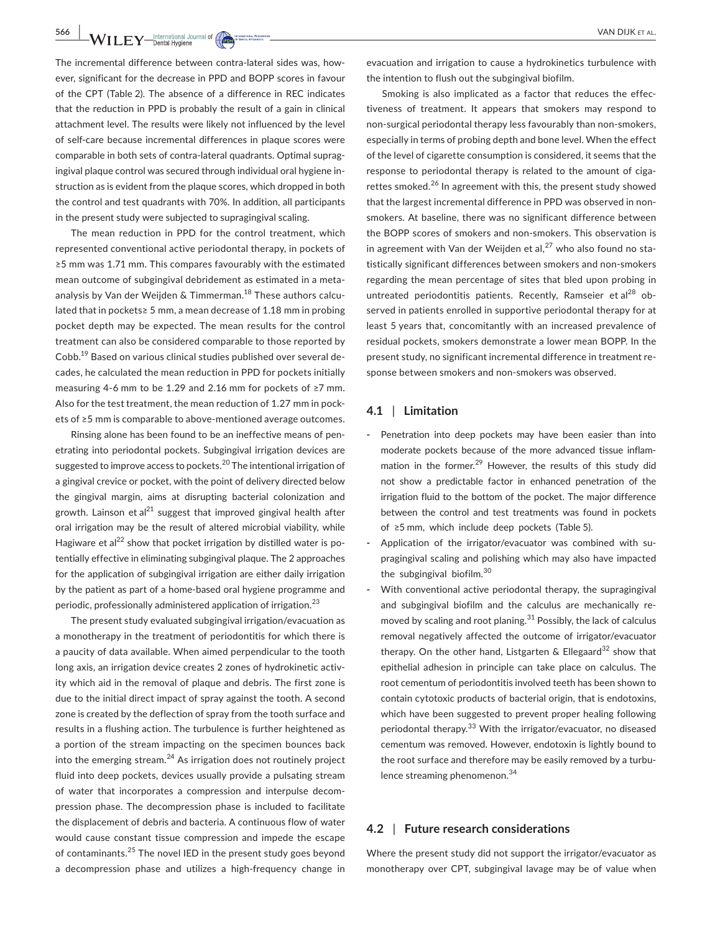**566 WII.EY** International Journal of **Case, by Course, and Contact and Contact Service Contact Service Contact Service Contact Property CAN DIJK ET AL.** 

The incremental difference between contra-lateral sides was, however, significant for the decrease in PPD and BOPP scores in favour of the CPT (Table 2). The absence of a difference in REC indicates that the reduction in PPD is probably the result of a gain in clinical attachment level. The results were likely not influenced by the level of self-care because incremental differences in plaque scores were comparable in both sets of contra-lateral quadrants. Optimal supragingival plaque control was secured through individual oral hygiene instruction as is evident from the plaque scores, which dropped in both the control and test quadrants with 70%. In addition, all participants in the present study were subjected to supragingival scaling.

The mean reduction in PPD for the control treatment, which represented conventional active periodontal therapy, in pockets of ≥5 mm was 1.71 mm. This compares favourably with the estimated mean outcome of subgingival debridement as estimated in a metaanalysis by Van der Weijden & Timmerman.<sup>18</sup> These authors calculated that in pockets≥ 5 mm, a mean decrease of 1.18 mm in probing pocket depth may be expected. The mean results for the control treatment can also be considered comparable to those reported by Cobb.19 Based on various clinical studies published over several decades, he calculated the mean reduction in PPD for pockets initially measuring 4-6 mm to be 1.29 and 2.16 mm for pockets of ≥7 mm. Also for the test treatment, the mean reduction of 1.27 mm in pockets of ≥5 mm is comparable to above-mentioned average outcomes.

Rinsing alone has been found to be an ineffective means of penetrating into periodontal pockets. Subgingival irrigation devices are suggested to improve access to pockets.<sup>20</sup> The intentional irrigation of a gingival crevice or pocket, with the point of delivery directed below the gingival margin, aims at disrupting bacterial colonization and growth. Lainson et al<sup>21</sup> suggest that improved gingival health after oral irrigation may be the result of altered microbial viability, while Hagiware et al<sup>22</sup> show that pocket irrigation by distilled water is potentially effective in eliminating subgingival plaque. The 2 approaches for the application of subgingival irrigation are either daily irrigation by the patient as part of a home-based oral hygiene programme and periodic, professionally administered application of irrigation.<sup>23</sup>

The present study evaluated subgingival irrigation/evacuation as a monotherapy in the treatment of periodontitis for which there is a paucity of data available. When aimed perpendicular to the tooth long axis, an irrigation device creates 2 zones of hydrokinetic activity which aid in the removal of plaque and debris. The first zone is due to the initial direct impact of spray against the tooth. A second zone is created by the deflection of spray from the tooth surface and results in a flushing action. The turbulence is further heightened as a portion of the stream impacting on the specimen bounces back into the emerging stream. $^{24}$  As irrigation does not routinely project fluid into deep pockets, devices usually provide a pulsating stream of water that incorporates a compression and interpulse decompression phase. The decompression phase is included to facilitate the displacement of debris and bacteria. A continuous flow of water would cause constant tissue compression and impede the escape of contaminants.25 The novel IED in the present study goes beyond a decompression phase and utilizes a high-frequency change in

evacuation and irrigation to cause a hydrokinetics turbulence with the intention to flush out the subgingival biofilm.

Smoking is also implicated as a factor that reduces the effectiveness of treatment. It appears that smokers may respond to non-surgical periodontal therapy less favourably than non-smokers, especially in terms of probing depth and bone level. When the effect of the level of cigarette consumption is considered, it seems that the response to periodontal therapy is related to the amount of cigarettes smoked.<sup>26</sup> In agreement with this, the present study showed that the largest incremental difference in PPD was observed in nonsmokers. At baseline, there was no significant difference between the BOPP scores of smokers and non-smokers. This observation is in agreement with Van der Weijden et al, $^{27}$  who also found no statistically significant differences between smokers and non-smokers regarding the mean percentage of sites that bled upon probing in untreated periodontitis patients. Recently, Ramseier et al<sup>28</sup> observed in patients enrolled in supportive periodontal therapy for at least 5 years that, concomitantly with an increased prevalence of residual pockets, smokers demonstrate a lower mean BOPP. In the present study, no significant incremental difference in treatment response between smokers and non-smokers was observed.

### **4.1** | **Limitation**

- **-** Penetration into deep pockets may have been easier than into moderate pockets because of the more advanced tissue inflammation in the former.<sup>29</sup> However, the results of this study did not show a predictable factor in enhanced penetration of the irrigation fluid to the bottom of the pocket. The major difference between the control and test treatments was found in pockets of ≥5 mm, which include deep pockets (Table 5).
- **-** Application of the irrigator/evacuator was combined with supragingival scaling and polishing which may also have impacted the subgingival biofilm.<sup>30</sup>
- **-** With conventional active periodontal therapy, the supragingival and subgingival biofilm and the calculus are mechanically removed by scaling and root planing. $31$  Possibly, the lack of calculus removal negatively affected the outcome of irrigator/evacuator therapy. On the other hand, Listgarten  $\&$  Ellegaard<sup>32</sup> show that epithelial adhesion in principle can take place on calculus. The root cementum of periodontitis involved teeth has been shown to contain cytotoxic products of bacterial origin, that is endotoxins, which have been suggested to prevent proper healing following periodontal therapy.<sup>33</sup> With the irrigator/evacuator, no diseased cementum was removed. However, endotoxin is lightly bound to the root surface and therefore may be easily removed by a turbulence streaming phenomenon.<sup>34</sup>

### **4.2** | **Future research considerations**

Where the present study did not support the irrigator/evacuator as monotherapy over CPT, subgingival lavage may be of value when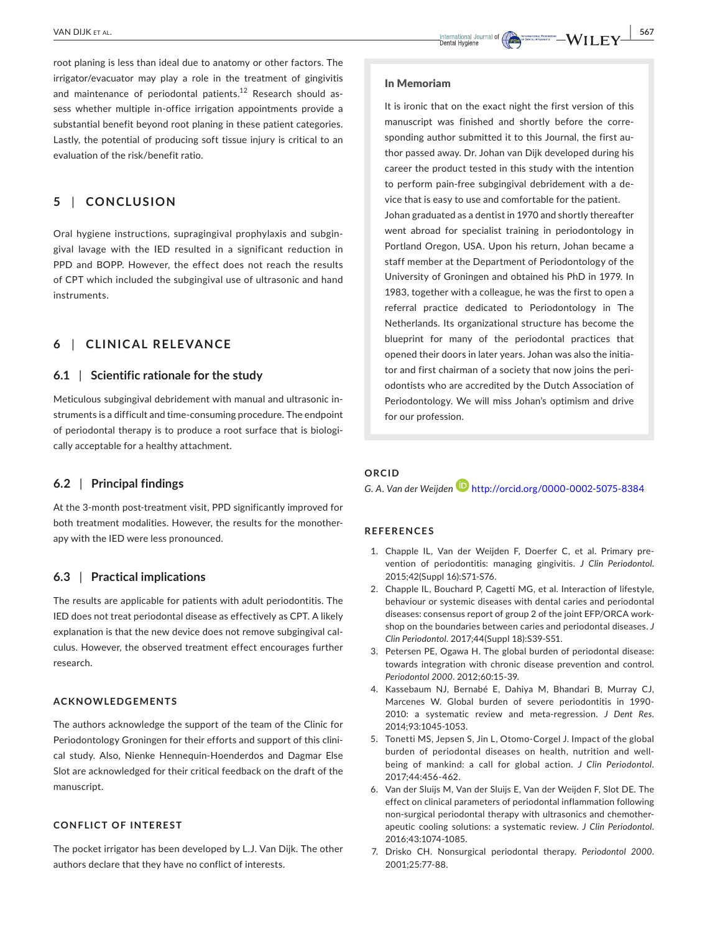root planing is less than ideal due to anatomy or other factors. The irrigator/evacuator may play a role in the treatment of gingivitis and maintenance of periodontal patients.<sup>12</sup> Research should assess whether multiple in-office irrigation appointments provide a substantial benefit beyond root planing in these patient categories. Lastly, the potential of producing soft tissue injury is critical to an evaluation of the risk/benefit ratio.

### **5** | **CONCLUSION**

Oral hygiene instructions, supragingival prophylaxis and subgingival lavage with the IED resulted in a significant reduction in PPD and BOPP. However, the effect does not reach the results of CPT which included the subgingival use of ultrasonic and hand instruments.

### **6** | **CLINICAL RELEVANCE**

### **6.1** | **Scientific rationale for the study**

Meticulous subgingival debridement with manual and ultrasonic instruments is a difficult and time-consuming procedure. The endpoint of periodontal therapy is to produce a root surface that is biologically acceptable for a healthy attachment.

#### **6.2** | **Principal findings**

At the 3-month post-treatment visit, PPD significantly improved for both treatment modalities. However, the results for the monotherapy with the IED were less pronounced.

### **6.3** | **Practical implications**

The results are applicable for patients with adult periodontitis. The IED does not treat periodontal disease as effectively as CPT. A likely explanation is that the new device does not remove subgingival calculus. However, the observed treatment effect encourages further research.

### **ACKNOWLEDGEMENTS**

The authors acknowledge the support of the team of the Clinic for Periodontology Groningen for their efforts and support of this clinical study. Also, Nienke Hennequin-Hoenderdos and Dagmar Else Slot are acknowledged for their critical feedback on the draft of the manuscript.

### **CONFLICT OF INTEREST**

The pocket irrigator has been developed by L.J. Van Dijk. The other authors declare that they have no conflict of interests.

#### In Memoriam

It is ironic that on the exact night the first version of this manuscript was finished and shortly before the corresponding author submitted it to this Journal, the first author passed away. Dr. Johan van Dijk developed during his career the product tested in this study with the intention to perform pain-free subgingival debridement with a device that is easy to use and comfortable for the patient. Johan graduated as a dentist in 1970 and shortly thereafter went abroad for specialist training in periodontology in Portland Oregon, USA. Upon his return, Johan became a staff member at the Department of Periodontology of the University of Groningen and obtained his PhD in 1979. In 1983, together with a colleague, he was the first to open a referral practice dedicated to Periodontology in The Netherlands. Its organizational structure has become the blueprint for many of the periodontal practices that opened their doors in later years. Johan was also the initiator and first chairman of a society that now joins the periodontists who are accredited by the Dutch Association of Periodontology. We will miss Johan's optimism and drive for our profession.

### **ORCID**

*G. A. Van der Weijden* <http://orcid.org/0000-0002-5075-8384>

#### **REFERENCES**

- 1. Chapple IL, Van der Weijden F, Doerfer C, et al. Primary prevention of periodontitis: managing gingivitis. *J Clin Periodontol*. 2015;42(Suppl 16):S71-S76.
- 2. Chapple IL, Bouchard P, Cagetti MG, et al. Interaction of lifestyle, behaviour or systemic diseases with dental caries and periodontal diseases: consensus report of group 2 of the joint EFP/ORCA workshop on the boundaries between caries and periodontal diseases. *J Clin Periodontol*. 2017;44(Suppl 18):S39-S51.
- 3. Petersen PE, Ogawa H. The global burden of periodontal disease: towards integration with chronic disease prevention and control. *Periodontol 2000*. 2012;60:15-39.
- 4. Kassebaum NJ, Bernabé E, Dahiya M, Bhandari B, Murray CJ, Marcenes W. Global burden of severe periodontitis in 1990- 2010: a systematic review and meta-regression. *J Dent Res*. 2014;93:1045-1053.
- 5. Tonetti MS, Jepsen S, Jin L, Otomo-Corgel J. Impact of the global burden of periodontal diseases on health, nutrition and wellbeing of mankind: a call for global action. *J Clin Periodontol*. 2017;44:456-462.
- 6. Van der Sluijs M, Van der Sluijs E, Van der Weijden F, Slot DE. The effect on clinical parameters of periodontal inflammation following non-surgical periodontal therapy with ultrasonics and chemotherapeutic cooling solutions: a systematic review. *J Clin Periodontol*. 2016;43:1074-1085.
- 7. Drisko CH. Nonsurgical periodontal therapy. *Periodontol 2000*. 2001;25:77-88.